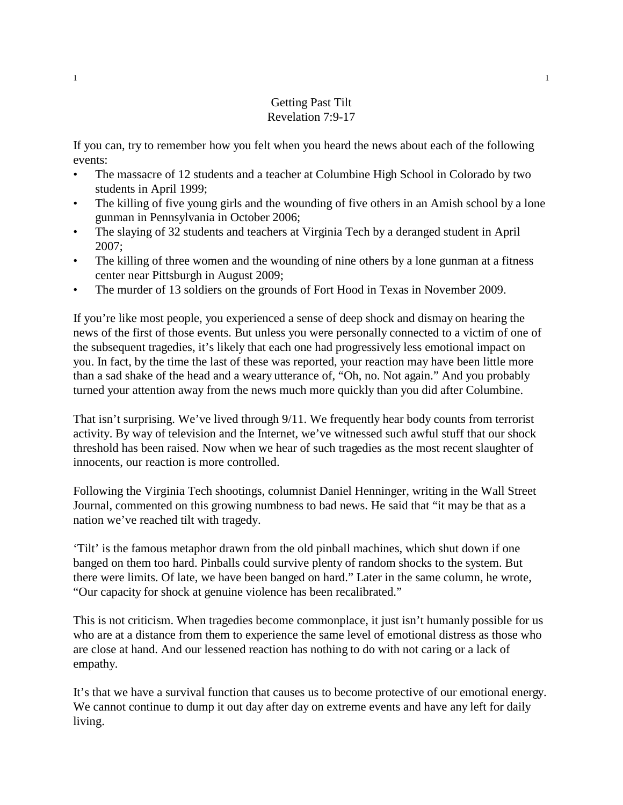## Getting Past Tilt Revelation 7:9-17

If you can, try to remember how you felt when you heard the news about each of the following events:

- The massacre of 12 students and a teacher at Columbine High School in Colorado by two students in April 1999;
- The killing of five young girls and the wounding of five others in an Amish school by a lone gunman in Pennsylvania in October 2006;
- The slaying of 32 students and teachers at Virginia Tech by a deranged student in April 2007;
- The killing of three women and the wounding of nine others by a lone gunman at a fitness center near Pittsburgh in August 2009;
- The murder of 13 soldiers on the grounds of Fort Hood in Texas in November 2009.

If you're like most people, you experienced a sense of deep shock and dismay on hearing the news of the first of those events. But unless you were personally connected to a victim of one of the subsequent tragedies, it's likely that each one had progressively less emotional impact on you. In fact, by the time the last of these was reported, your reaction may have been little more than a sad shake of the head and a weary utterance of, "Oh, no. Not again." And you probably turned your attention away from the news much more quickly than you did after Columbine.

That isn't surprising. We've lived through 9/11. We frequently hear body counts from terrorist activity. By way of television and the Internet, we've witnessed such awful stuff that our shock threshold has been raised. Now when we hear of such tragedies as the most recent slaughter of innocents, our reaction is more controlled.

Following the Virginia Tech shootings, columnist Daniel Henninger, writing in the Wall Street Journal, commented on this growing numbness to bad news. He said that "it may be that as a nation we've reached tilt with tragedy.

'Tilt' is the famous metaphor drawn from the old pinball machines, which shut down if one banged on them too hard. Pinballs could survive plenty of random shocks to the system. But there were limits. Of late, we have been banged on hard." Later in the same column, he wrote, "Our capacity for shock at genuine violence has been recalibrated."

This is not criticism. When tragedies become commonplace, it just isn't humanly possible for us who are at a distance from them to experience the same level of emotional distress as those who are close at hand. And our lessened reaction has nothing to do with not caring or a lack of empathy.

It's that we have a survival function that causes us to become protective of our emotional energy. We cannot continue to dump it out day after day on extreme events and have any left for daily living.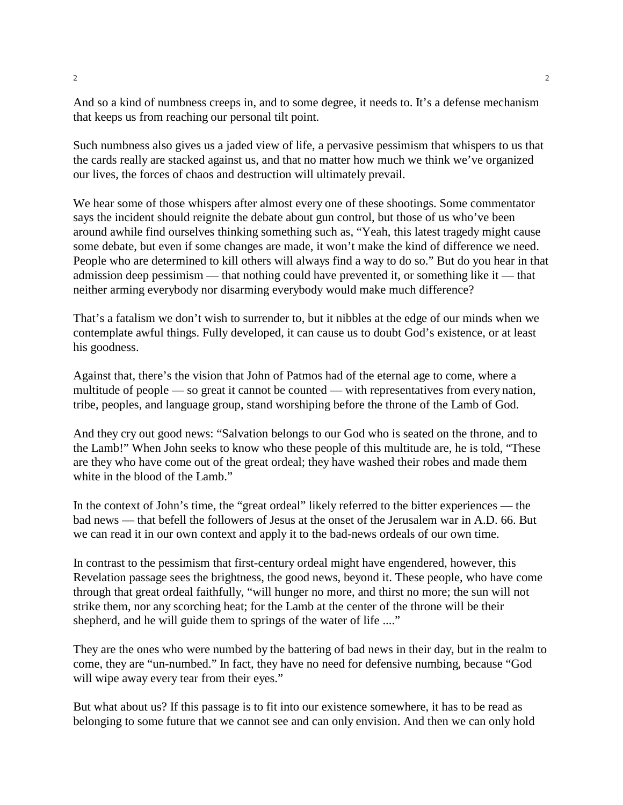And so a kind of numbness creeps in, and to some degree, it needs to. It's a defense mechanism that keeps us from reaching our personal tilt point.

Such numbness also gives us a jaded view of life, a pervasive pessimism that whispers to us that the cards really are stacked against us, and that no matter how much we think we've organized our lives, the forces of chaos and destruction will ultimately prevail.

We hear some of those whispers after almost every one of these shootings. Some commentator says the incident should reignite the debate about gun control, but those of us who've been around awhile find ourselves thinking something such as, "Yeah, this latest tragedy might cause some debate, but even if some changes are made, it won't make the kind of difference we need. People who are determined to kill others will always find a way to do so." But do you hear in that admission deep pessimism — that nothing could have prevented it, or something like it — that neither arming everybody nor disarming everybody would make much difference?

That's a fatalism we don't wish to surrender to, but it nibbles at the edge of our minds when we contemplate awful things. Fully developed, it can cause us to doubt God's existence, or at least his goodness.

Against that, there's the vision that John of Patmos had of the eternal age to come, where a multitude of people — so great it cannot be counted — with representatives from every nation, tribe, peoples, and language group, stand worshiping before the throne of the Lamb of God.

And they cry out good news: "Salvation belongs to our God who is seated on the throne, and to the Lamb!" When John seeks to know who these people of this multitude are, he is told, "These are they who have come out of the great ordeal; they have washed their robes and made them white in the blood of the Lamb."

In the context of John's time, the "great ordeal" likely referred to the bitter experiences — the bad news — that befell the followers of Jesus at the onset of the Jerusalem war in A.D. 66. But we can read it in our own context and apply it to the bad-news ordeals of our own time.

In contrast to the pessimism that first-century ordeal might have engendered, however, this Revelation passage sees the brightness, the good news, beyond it. These people, who have come through that great ordeal faithfully, "will hunger no more, and thirst no more; the sun will not strike them, nor any scorching heat; for the Lamb at the center of the throne will be their shepherd, and he will guide them to springs of the water of life ...."

They are the ones who were numbed by the battering of bad news in their day, but in the realm to come, they are "un-numbed." In fact, they have no need for defensive numbing, because "God will wipe away every tear from their eyes."

But what about us? If this passage is to fit into our existence somewhere, it has to be read as belonging to some future that we cannot see and can only envision. And then we can only hold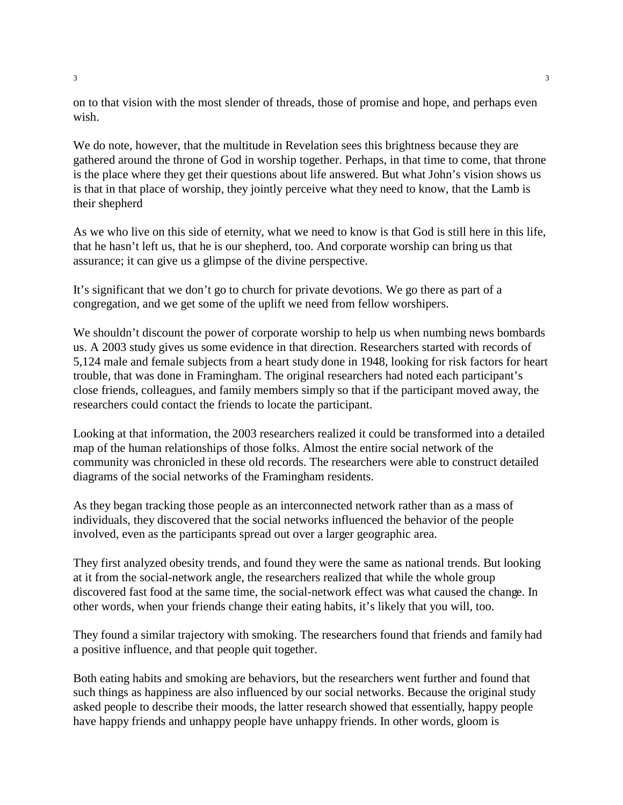on to that vision with the most slender of threads, those of promise and hope, and perhaps even wish.

We do note, however, that the multitude in Revelation sees this brightness because they are gathered around the throne of God in worship together. Perhaps, in that time to come, that throne is the place where they get their questions about life answered. But what John's vision shows us is that in that place of worship, they jointly perceive what they need to know, that the Lamb is their shepherd

As we who live on this side of eternity, what we need to know is that God is still here in this life, that he hasn't left us, that he is our shepherd, too. And corporate worship can bring us that assurance; it can give us a glimpse of the divine perspective.

It's significant that we don't go to church for private devotions. We go there as part of a congregation, and we get some of the uplift we need from fellow worshipers.

We shouldn't discount the power of corporate worship to help us when numbing news bombards us. A 2003 study gives us some evidence in that direction. Researchers started with records of 5,124 male and female subjects from a heart study done in 1948, looking for risk factors for heart trouble, that was done in Framingham. The original researchers had noted each participant's close friends, colleagues, and family members simply so that if the participant moved away, the researchers could contact the friends to locate the participant.

Looking at that information, the 2003 researchers realized it could be transformed into a detailed map of the human relationships of those folks. Almost the entire social network of the community was chronicled in these old records. The researchers were able to construct detailed diagrams of the social networks of the Framingham residents.

As they began tracking those people as an interconnected network rather than as a mass of individuals, they discovered that the social networks influenced the behavior of the people involved, even as the participants spread out over a larger geographic area.

They first analyzed obesity trends, and found they were the same as national trends. But looking at it from the social-network angle, the researchers realized that while the whole group discovered fast food at the same time, the social-network effect was what caused the change. In other words, when your friends change their eating habits, it's likely that you will, too.

They found a similar trajectory with smoking. The researchers found that friends and family had a positive influence, and that people quit together.

Both eating habits and smoking are behaviors, but the researchers went further and found that such things as happiness are also influenced by our social networks. Because the original study asked people to describe their moods, the latter research showed that essentially, happy people have happy friends and unhappy people have unhappy friends. In other words, gloom is